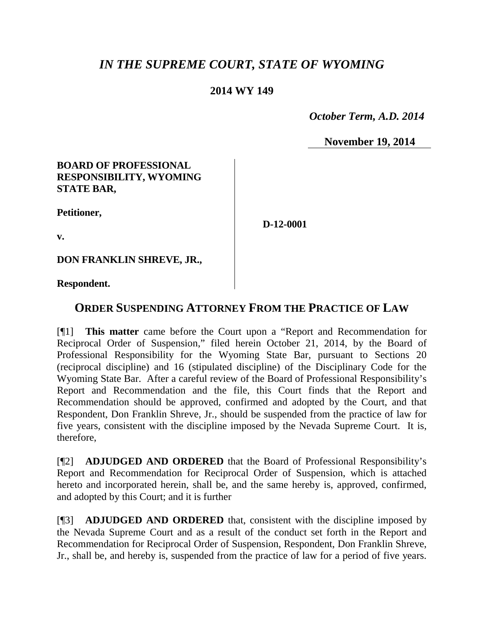# *IN THE SUPREME COURT, STATE OF WYOMING*

## **2014 WY 149**

 *October Term, A.D. 2014*

**November 19, 2014**

## **BOARD OF PROFESSIONAL RESPONSIBILITY, WYOMING STATE BAR,**

**Petitioner,**

**D-12-0001**

**v.**

**DON FRANKLIN SHREVE, JR.,**

**Respondent.**

# **ORDER SUSPENDING ATTORNEY FROM THE PRACTICE OF LAW**

[¶1] **This matter** came before the Court upon a "Report and Recommendation for Reciprocal Order of Suspension," filed herein October 21, 2014, by the Board of Professional Responsibility for the Wyoming State Bar, pursuant to Sections 20 (reciprocal discipline) and 16 (stipulated discipline) of the Disciplinary Code for the Wyoming State Bar. After a careful review of the Board of Professional Responsibility's Report and Recommendation and the file, this Court finds that the Report and Recommendation should be approved, confirmed and adopted by the Court, and that Respondent, Don Franklin Shreve, Jr., should be suspended from the practice of law for five years, consistent with the discipline imposed by the Nevada Supreme Court. It is, therefore,

[¶2] **ADJUDGED AND ORDERED** that the Board of Professional Responsibility's Report and Recommendation for Reciprocal Order of Suspension, which is attached hereto and incorporated herein, shall be, and the same hereby is, approved, confirmed, and adopted by this Court; and it is further

[¶3] **ADJUDGED AND ORDERED** that, consistent with the discipline imposed by the Nevada Supreme Court and as a result of the conduct set forth in the Report and Recommendation for Reciprocal Order of Suspension, Respondent, Don Franklin Shreve, Jr., shall be, and hereby is, suspended from the practice of law for a period of five years.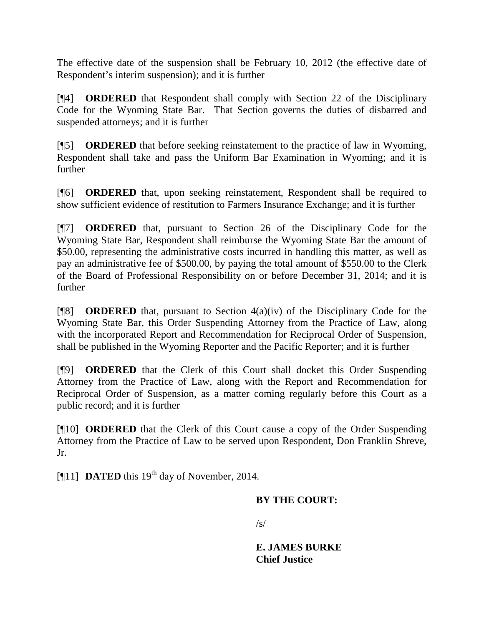The effective date of the suspension shall be February 10, 2012 (the effective date of Respondent's interim suspension); and it is further

[¶4] **ORDERED** that Respondent shall comply with Section 22 of the Disciplinary Code for the Wyoming State Bar. That Section governs the duties of disbarred and suspended attorneys; and it is further

[¶5] **ORDERED** that before seeking reinstatement to the practice of law in Wyoming, Respondent shall take and pass the Uniform Bar Examination in Wyoming; and it is further

[¶6] **ORDERED** that, upon seeking reinstatement, Respondent shall be required to show sufficient evidence of restitution to Farmers Insurance Exchange; and it is further

[¶7] **ORDERED** that, pursuant to Section 26 of the Disciplinary Code for the Wyoming State Bar, Respondent shall reimburse the Wyoming State Bar the amount of \$50.00, representing the administrative costs incurred in handling this matter, as well as pay an administrative fee of \$500.00, by paying the total amount of \$550.00 to the Clerk of the Board of Professional Responsibility on or before December 31, 2014; and it is further

[¶8] **ORDERED** that, pursuant to Section 4(a)(iv) of the Disciplinary Code for the Wyoming State Bar, this Order Suspending Attorney from the Practice of Law, along with the incorporated Report and Recommendation for Reciprocal Order of Suspension, shall be published in the Wyoming Reporter and the Pacific Reporter; and it is further

[¶9] **ORDERED** that the Clerk of this Court shall docket this Order Suspending Attorney from the Practice of Law, along with the Report and Recommendation for Reciprocal Order of Suspension, as a matter coming regularly before this Court as a public record; and it is further

[¶10] **ORDERED** that the Clerk of this Court cause a copy of the Order Suspending Attorney from the Practice of Law to be served upon Respondent, Don Franklin Shreve, Jr.

[ $[$ [11] **DATED** this 19<sup>th</sup> day of November, 2014.

## **BY THE COURT:**

 $\sqrt{s}$ 

**E. JAMES BURKE Chief Justice**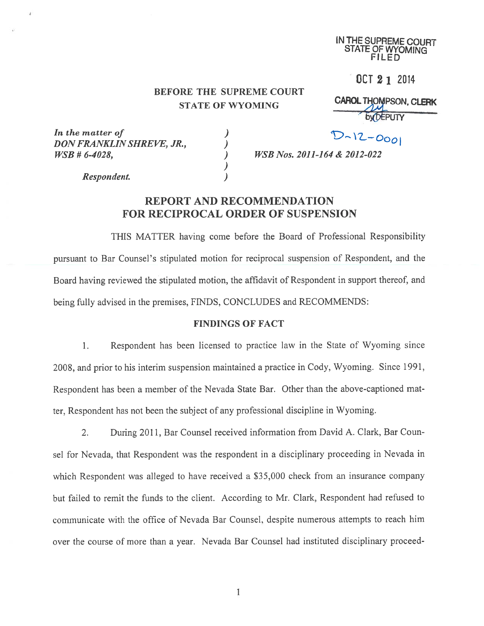IN THE SUPREME COURT STATE OF WYOMiNG FILED

OCT 2 1 2014

## BEFORE THE SUPREME COURT STATE OF WYOMING CAROL THOMPSON, CLERK

)

byDEPUTY

In the matter of  $D \sim |Z - O_{OO}|$ <br>DON FRANKLIN SHREVE, JR.,  $D \sim |Z - O_{OO}|$ DON FRANKLIN SHREVE, JR.,  $WSB \# 6-4028,$  )

WSB Nos. 2011-164 & 2012-022

Respondent. )

## REPORT AND RECOMMENDATION FOR RECIPROCAL ORDER OF SUSPENSION

THIS MATTER having come before the Board of Professional Responsibility pursuan<sup>t</sup> to Bar Counsel's stipulated motion for reciprocal suspension of Respondent, and the Board having reviewed the stipulated motion, the affidavit of Respondent in suppor<sup>t</sup> thereof, and being fully advised in the premises, FINDS, CONCLUDES and RECOMMENDS:

#### FINDINGS OF FACT

1. Respondent has been licensed to practice law in the State of Wyoming since 200\$, and prior to his interim suspension maintained <sup>a</sup> practice in Cody, Wyoming. Since 1991, Respondent has been <sup>a</sup> member of the Nevada State Bar. Other than the above-captioned mat ter, Respondent has not been the subject of any professional discipline in Wyoming.

2. During 2011, Bar Counsel received information from David A. Clark, Bar Coun sel for Nevada, that Respondent was the respondent in <sup>a</sup> disciplinary proceeding in Nevada in which Respondent was alleged to have received a \$35,000 check from an insurance company but failed to remit the funds to the client. According to Mr. Clark, Respondent had refused to communicate with the office of Nevada Bar Counsel, despite numerous attempts to reach him over the course of more than <sup>a</sup> year. Nevada Bar Counsel had instituted disciplinary proceed-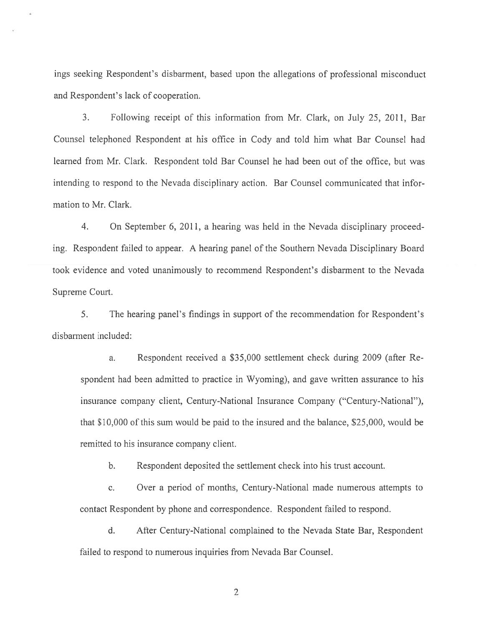ings seeking Respondent's disbarment, based upon the allegations of professional misconduct and Respondent's lack of cooperation.

3. Following receipt of this information from Mr. Clark, on July 25, 2011, Bar Counsel telephoned Respondent at his office in Cody and told him what Bar Counsel had learned from Mr. Clark. Respondent told Bar Counsel he had been out of the office, but was intending to respond to the Nevada disciplinary action. Bar Counsel communicated that infor mation to Mr. Clark.

4. On September 6, 2011, <sup>a</sup> hearing was held in the Nevada disciplinary proceed ing. Respondent failed to appear. A hearing panel of the Southern Nevada Disciplinary Board took evidence and voted unanimously to recommend Respondent's disbarment to the Nevada Supreme Court.

5. The hearing panel's findings in suppor<sup>t</sup> of the recommendation for Respondent's disbarment included:

a. Respondent received <sup>a</sup> \$35,000 settlement check during 2009 (after Re spondent had been admitted to practice in Wyoming), and gave written assurance to his insurance company client, Century-National Insurance Company ("Century-National"), that \$10,000 of this sum would be paid to the insured and the balance, \$25,000, would be remitted to his insurance company client.

b. Respondent deposited the settlement check into his trust account.

c. Over <sup>a</sup> period of months, Century-National made numerous attempts to contact Respondent by phone and correspondence. Respondent failed to respond.

d. After Century-National complained to the Nevada State Bar, Respondent failed to respond to numerous inquiries from Nevada Bar Counsel.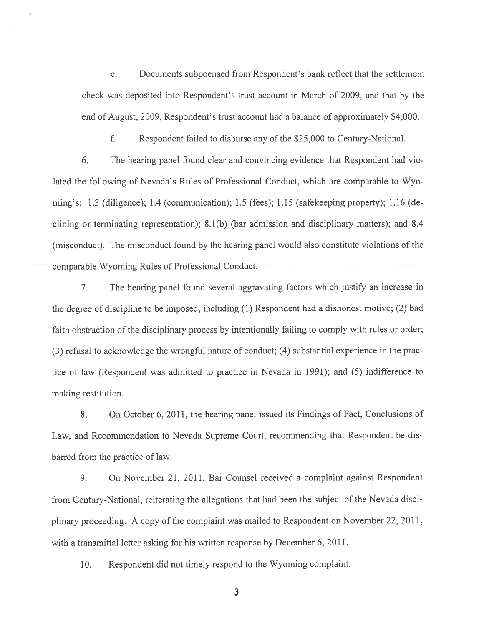e. Documents subpoenaed from Respondent's bank reflect that the settlement check was deposited into Respondent's trust account in March of 2009, and that by the end of August, 2009, Respondent's trust account had <sup>a</sup> balance of approximately \$4,000.

f. Respondent failed to disburse any of the \$25,000 to Century-National.

6. The hearing panel found clear and convincing evidence that Respondent had vio lated the following of Nevada's Rules of Professional Conduct, which are comparable to Wyo ming's: 1.3 (diligence); 1.4 (communication); 1.5 (fees); 1.15 (safekeeping property); 1.16 (de clining or terminating representation); 8.1(b) (bar admission and disciplinary matters); and 8.4 (misconduct). The misconduct found by the hearing panel would also constitute violations of the comparable Wyoming Rules of Professional Conduct.

7. The hearing panel found several aggravating factors which justify an increase in the degree of discipline to be imposed, including (1) Respondent had <sup>a</sup> dishonest motive; (2) bad faith obstruction of the disciplinary process by intentionally failing to comply with rules or order; (3) refusal to acknowledge the wrongful nature of conduct; (4) substantial experience in the prac tice of law (Respondent was admitted to practice in Nevada in 1991); and (5) indifference to making restitution.

8. On October 6, 2011, the hearing panel issued its Findings of Fact, Conclusions of Law, and Recommendation to Nevada Supreme Court, recommending that Respondent be dis barred from the practice of law.

9. On November 21, 2011, Bar Counsel received <sup>a</sup> complaint against Respondent from Century-National, reiterating the allegations that had been the subject of the Nevada disci <sup>p</sup>linary proceeding. <sup>A</sup> copy of the complaint was mailed to Respondent on November 22, 2011, with <sup>a</sup> transmittal letter asking for his written response by December 6, 2011.

10. Respondent did not timely respond to the Wyoming complaint.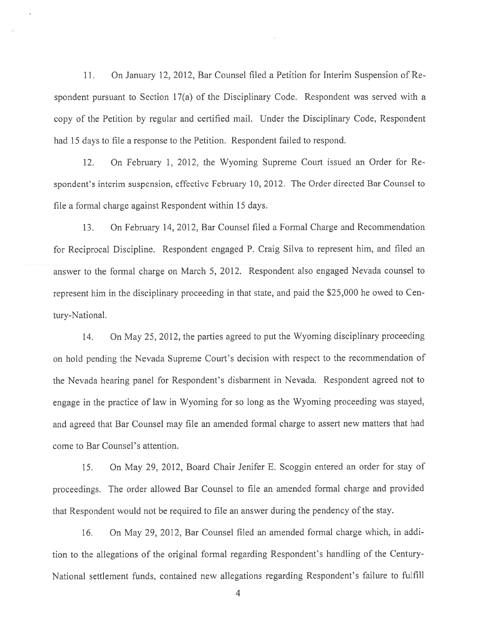11. On January 12, 2012, Bar Counsel filed <sup>a</sup> Petition for Interim Suspension of Re spondent pursuan<sup>t</sup> to Section 17(a) of the Disciplinary Code. Respondent was served with <sup>a</sup> copy of the Petition by regular and certified mail. Under the Disciplinary Code, Respondent had 15 days to file <sup>a</sup> response to the Petition. Respondent failed to respond.

12. On February 1, 2012, the Wyoming Supreme Court issued an Order for Re spondent's interim suspension, effective February 10. 2012. The Order directed Bar Counsel to file <sup>a</sup> formal charge against Respondent within 15 days.

13. On February 14, 2012, Bar Counsel filed <sup>a</sup> Formal Charge and Recommendation for Reciprocal Discipline. Respondent engage<sup>d</sup> P. Craig Silva to represen<sup>t</sup> him, and filed an answer to the formal charge on March 5, 2012. Respondent also engaged Nevada counsel to represen<sup>t</sup> him in the disciplinary proceeding in that state, and paid the \$25,000 he owed to Cen tury—National.

14. On May 25, 2012, the parties agree<sup>d</sup> to pu<sup>t</sup> the Wyoming disciplinary proceeding on hold pending the Nevada Supreme Court's decision with respec<sup>t</sup> to the recommendation of the Nevada hearing pane<sup>l</sup> for Respondent's disbarment in Nevada. Respondent agree<sup>d</sup> not to engage in the practice of law in Wyoming for so long as the Wyoming proceeding was stayed, and agree<sup>d</sup> that Bar Counsel may file an amended formal charge to assert new matters that had come to Bar Counsel's attention.

15. On May 29, 2012, Board Chair Jenifer E. Scoggin entered an order for stay of proceedings. The order allowed Bar Counsel to file an amended formal charge and provided that Respondent would not be required to file an answer during the pendency of the stay.

16. On May 29, 2012, Bar Counsel filed an amended formal charge which, in addi tion to the allegations of the original formal regarding Respondent's handling of the Century National settlement funds, contained new allegations regarding Respondent's failure to fulfill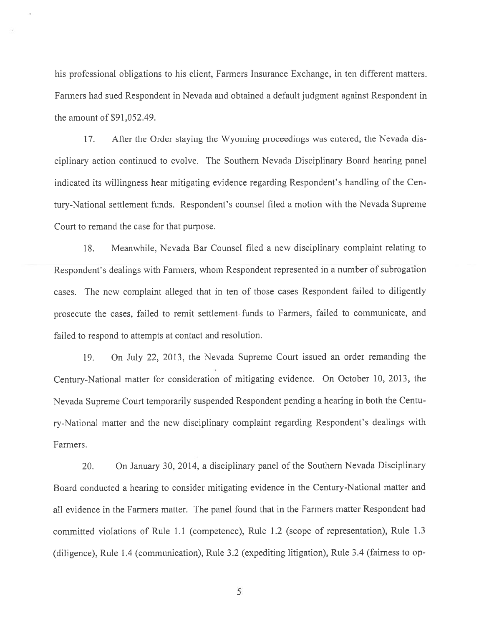his professional obligations to his client, Farmers Insurance Exchange, in ten different matters. Farmers had sued Respondent in Nevada and obtained <sup>a</sup> default judgment against Respondent in the amount of \$91,052.49.

17. Afier the Order staying the Wyoming proceedings was entered, the Nevada dis ciplinary action continued to evolve. The Southern Nevada Disciplinary Board hearing panel indicated its willingness hear mitigating evidence regarding Respondent's handling of the Cen tury-National settlement funds. Respondent's counsel filed <sup>a</sup> motion with the Nevada Supreme Court to remand the case for that purpose.

18. Meanwhile, Nevada Bar Counsel filed <sup>a</sup> new disciplinary complaint relating to Respondent's dealings with Farmers, whom Respondent represented in a number of subrogation cases. The new complaint alleged that in ten of those cases Respondent failed to diligently prosecute the cases, failed to remit settlement funds to Farmers. failed to communicate, and failed to respond to attempts at contact and resolution.

19. On July 22, 2013, the Nevada Supreme Court issued an order remanding the Century-National matter for consideration of mitigating evidence. On October 10, 2013, the Nevada Supreme Court temporarily suspended Respondent pending <sup>a</sup> hearing in both the Centu ry-National matter and the new disciplinary complaint regarding Respondent's dealings with Farmers.

20. On January 30, 2014, <sup>a</sup> disciplinary pane<sup>l</sup> of the Southern Nevada Disciplinary Board conducted <sup>a</sup> hearing to consider mitigating evidence in the Century-National matter and all evidence in the Farmers matter. The pane<sup>l</sup> found that in the Farmers matter Respondent had committed violations of Rule 1.1 (competence), Rule 1 .2 (scope of representation), Rule 1.3 (diligence), Rule 1.4 (communication), Rule 3.2 (expediting litigation), Rule 3.4 (fairness to op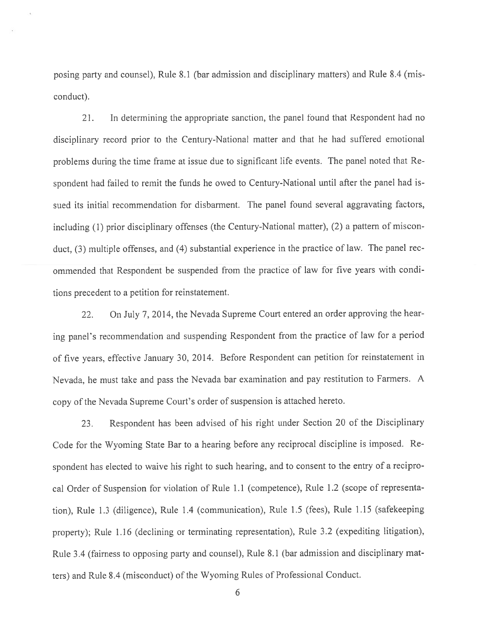posing party and counsel), Rule 8.1 (bar admission and disciplinary matters) and Rule 8.4 (mis conduct).

21. In determining the appropriate sanction, the panel found that Respondent had no disciplinary record prior to the Century-National matter and that he had suffered emotional problems during the time frame at issue due to significant life events. The pane<sup>l</sup> noted that Re spondent had failed to remit the funds he owed to Century-National until after the pane<sup>l</sup> had is sued its initial recommendation for disbarment. The panel found several aggravating factors, including (1) prior disciplinary offenses (the Century-National matter), (2) <sup>a</sup> pattern of miscon duct, (3) multiple offenses, and (4) substantial experience in the practice of law. The pane<sup>l</sup> rec ommended that Respondent be suspended from the practice of law for five years with condi tions precedent to <sup>a</sup> petition for reinstatement.

22. On July 7, 2014, the Nevada Supreme Court entered an order approving the hear ing panel's recommendation and suspending Respondent from the practice of law for <sup>a</sup> period of five years, effective January 30, 2014. Before Respondent can petition for reinstatement in Nevada, he must take and pass the Nevada bar examination and pay restitution to Farmers. <sup>A</sup> copy of the Nevada Supreme Court's order of suspension is attached hereto.

23. Respondent has been advised of his right under Section <sup>20</sup> of the Disciplinary Code for the Wyoming State Bar to <sup>a</sup> hearing before any reciprocal discipline is imposed. Re spondent has elected to waive his right to such hearing, and to consent to the entry of <sup>a</sup> recipro cal Order of Suspension for violation of Rule 1.1 (competence), Rule 1.2 (scope of representa tion), Rule 1.3 (diligence), Rule 1.4 (communication), Rule 1.5 (fees), Rule 1.15 (safekeeping property); Rule 1.16 (declining or terminating representation), Rule 3.2 (expediting litigation), Rule 3.4 (fairness to opposing party and counsel). Rule 8.1 (bar admission and disciplinary mat ters) and Rule 8.4 (misconduct) of the Wyoming Rules of Professional Conduct.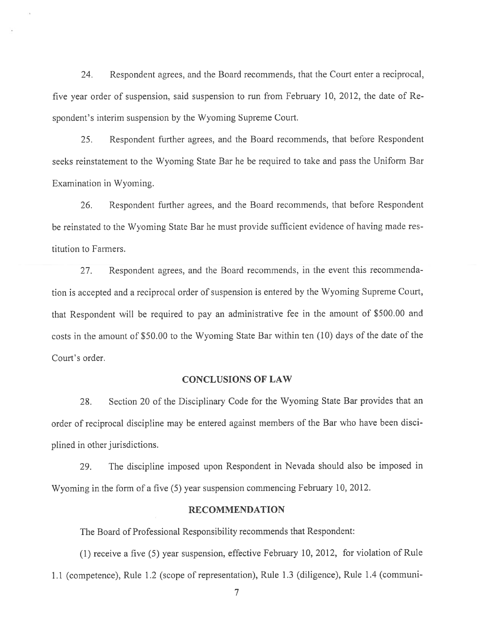24. Respondent agrees, and the Board recommends, that the Court enter <sup>a</sup> reciprocal, five year order of suspension, said suspension to run from February 10, 2012, the date of Re spondent's interim suspension by the Wyoming Supreme Court.

25. Respondent further agrees, and the Board recommends, that before Respondent seeks reinstatement to the Wyoming State Bar he be required to take and pass the Uniform Bar Examination in Wyoming.

26. Respondent further agrees, and the Board recommends, that before Respondent be reinstated to the Wyoming State Bar he must provide sufficient evidence of having made res titution to Farmers.

27. Respondent agrees, and the Board recommends, in the event this recommenda tion is accepted and <sup>a</sup> reciprocal order of suspension is entered by the Wyoming Supreme Court, that Respondent will be required to pay an administrative fee in the amount of \$500.00 and costs in the amount of \$50.00 to the Wyoming State Bar within ten (10) days of the date of the Court's order.

#### CONCLUSIONS OF LAW

28. Section <sup>20</sup> of the Disciplinary Code for the Wyoming State Bar provides that an order of reciprocal discipline may be entered against members of the Bar who have been disci plined in other jurisdictions.

29. The discipline imposed upon Respondent in Nevada should also be imposed in Wyoming in the form of <sup>a</sup> five (5) year suspension commencing February 10, 2012.

#### RECOMMENDATION

The Board of Professional Responsibility recommends that Respondent:

(1) receive <sup>a</sup> five (5) year suspension, effective February 10, 2012, for violation of Rule LI (competence), Rule 1.2 (scope of representation), Rule 1.3 (diligence), Rule 1.4 (communi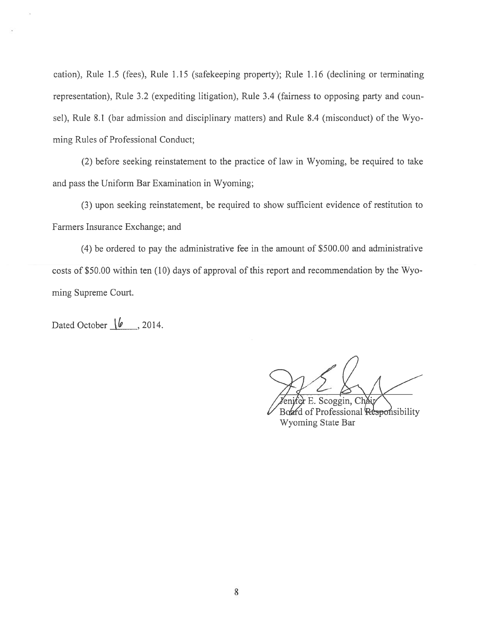cation), Rule 1.5 (fees), Rule 1.15 (safekeeping property); Rule 1.16 (declining or terminating representation), Rule 3.2 (expediting litigation), Rule 3.4 (fairness to opposing party and coun sel), Rule 8.1 (bar admission and disciplinary matters) and Rule 8.4 (misconduct) of the Wyo ming Rules of Professional Conduct;

(2) before seeking reinstatement to the practice of law in Wyoming, be required to take and pass the Uniform Bar Examination in Wyoming;

(3) upon seeking reinstatement, be required to show sufficient evidence of restitution to Farmers Insurance Exchange; and

(4) be ordered to pay the administrative fee in the amount of \$500.00 and administrative costs of \$50.00 within ten (10) days of approval of this repor<sup>t</sup> and recommendation by the Wyo ming Supreme Court.

Dated October **10** . 2014

Scoggin, Cha Board of Professional Responsibility Wyoming State Bar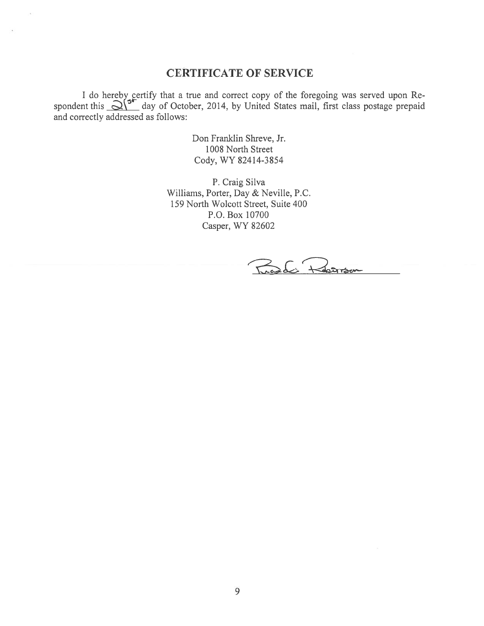## CERTIFICATE OF SERVICE

I do hereby gertify that a true and correct copy of the foregoing was served upon Respondent this  $\Delta V$  day of October, 2014, by United States mail, first class postage prepaid and correctly addressed as follows:

> Don Franklin Shreve, Jr. 100\$ North Street Cody, WY 82414-3254

P. Craig Silva Williams, Porter, Day & Neville, P.C. 159 North Wolcott Street, Suite 400 P.O. Box 10700 Casper, WY 82602

Ruedi Rosson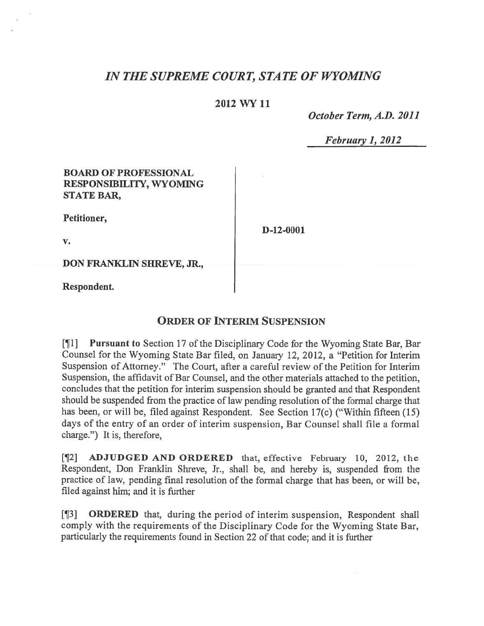# IN THE SUPREME COURT, STATE OF WYOMING

## 2012 WY 11

October Term, A.D. 2011

February 1, 2012

| <b>BOARD OF PROFESSIONAL</b><br><b>RESPONSIBILITY, WYOMING</b><br><b>STATE BAR,</b> |             |
|-------------------------------------------------------------------------------------|-------------|
| Petitioner,                                                                         | $D-12-0001$ |
| $\mathbf{v}$ .                                                                      |             |
| DON FRANKLIN SHREVE, JR.,                                                           |             |
| Respondent.                                                                         |             |

## ORDER OF INTERIM SUSPENSION

[¶1] Pursuant to Section 17 of the Disciplinary Code for the Wyoming State Bar, Bar Counsel for the Wyoming State Bar filed, on January 12, 2012, <sup>a</sup> "Petition for Interim Suspension of Attorney." The Court, after <sup>a</sup> careful review of the Petition for Interim Suspension, the affidavit of Bar Counsel, and the other materials attached to the petition, concludes that the petition for interim suspension should be granted and that Respondent should be suspended from the practice of law pending resolution of the formal charge that has been, or will be, filed against Respondent. See Section 17(c) ("Within fifteen (15) days of the entry of an order of interim suspension, Bar Counsel shall file <sup>a</sup> formal charge.") It is, therefore,

[¶2] ADJUDGED AND ORDERED that, effective February 10, 2012, the Respondent, Don Franklin Shreve, Jr., shall be, and hereby is, suspended from the practice of law, pending final resolution of the formal charge that has been, or will be, filed against him; and it is further

[¶3] ORDERED that, during the period of interim suspension, Respondent shall comply with the requirements of the Disciplinary Code for the Wyoming State Bar, particularly the requirements found in Section 22 of that code; and it is further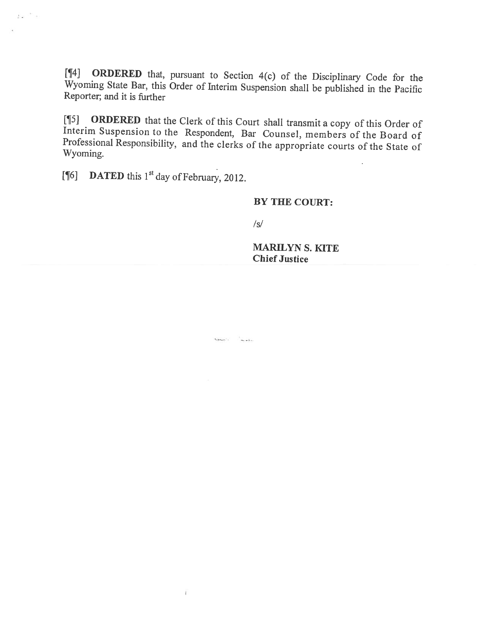[1f4] ORDERED that, pursuant to Section 4(c) of the Disciplinary Code for the Wyoming State Bar, this Order of Interim Suspension shall be published in the Pacific Reporter; and it is further

[¶5] **ORDERED** that the Clerk of this Court shall transmit a copy of this Order of Interim Suspension to the Respondent, Bar Counsel, members of the Board of Professional Responsibility, and the clerks of the appropriate c

[ $[$ [6] DATED this 1<sup>st</sup> day of February, 2012.

 $\tilde{L} \propto \frac{1}{\pi} \propto 1$ 

## BY THE COURT:

/5/

MARILYN S. KITE Chief Justice

 $\label{eq:optimal} \tau_{\text{approx},\text{min}}:=\frac{1}{\tau_{\text{max}}\lambda_{\text{min}}}$ 

 $\Gamma$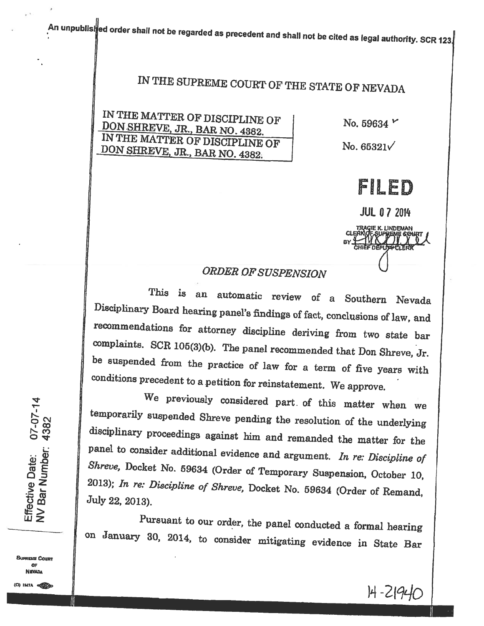# IN THE SUPREME COURT OF THE STATE OF NEVADA

IN THE MATTER OF DISCIPLINE OF No. 59634 V<br>
DON SHREVE, JR., BAR NO. 4382. No. 59634 V<br>
IN THE MATTER OF DISCIPLINE OF No. 65321 DON IN THE MATTER OF DISCIPLINE OF No.  $65321\sqrt{100}$  SHREVE, JR., BAR NO. 4382.



**JUL 07 2014** E K. LINDEMAN

# ORDER OF SUSPENSION

This is an automatic review of <sup>a</sup> Southern Nevada Disciplinary Board hearing panel's findings of fact, conclusions of law, and recommendations for attorney discipline deriving from two state bar complaints. SCR 105(3)(b). The panel recommended that Don Shreve, Jr. be suspended from the practice of law for a term of five years with conditions precedent to a petition for reinstatement. We approve.

We previously considered part of this matter when we temporarily suspended Shreve pending the resolution of the underlying disciplinary proceedings against him and remanded the matter for the panel to consider additional evidence and argument. In re: Discipline of<br>Shreve, Docket No. 59634 (Order of Temporary Suspension, October 10, 2013); In re: Discipline of Shreve, Docket No. 59634 (Order of Remand, July 22, 2013).

Pursuant to our order, the panel conducted <sup>a</sup> formal hearing on January 30, 2014, to consider mitigating evidence in State Bar

 $\bm{\varpi}$   $\bm{\varpi}$ 

BUPfiEUE CounT OF **NEVADA** 

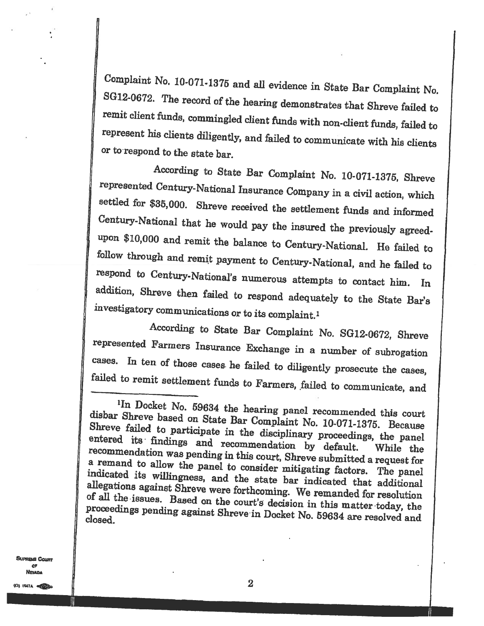Complaint No. 10-071-1375 and all evidence in State Bar Complaint No. SG12-0672. The record of the hearing demonstrates that Shreve failed to remit client funds, commingled client funds with non-client funds, failed to represent his clients diligently, and failed to communicate with his clients or to respond to the state bar.

According to State Bar Complaint No. 10-071-1375, Shreve represented Century-National Insurance Company in a civil action, which settled for \$35,000. Shreve received the settlement funds and informed<br>Century-National that he would pay the insured the previously agreed-<br>upon \$10,000 and remit the balance to Century-National. He failed to<br>follow thro

According to State Bar Complaint No. SG12-0672, Shreve represented Farmers Insurance Exchange in <sup>a</sup> number of subrogation cases. In ten of those cases. he failed to diligently prosecute the cases, failed to remit settlement funds to Farmers, failed to communicate, and

**SUPREME COMPT** OP **NEVADA** 

disbar  $\mathbf{In}$ Shreve Docket No. <sup>59634</sup> the hearing panel recommended this court  ${\rm Shreve}$ Shreve failed to participate in the disciplinary proceedings, the panel recommendation entered its findings and recommendation by default. While the  $\alpha$  remand to allow the namel to sourt, Shreve submitted a remand to allow the panel to consider mitigating factors. The panel allegations against Shreve were forthcoming. We remanded for resolutional<br>of all the issues. Based on the state of the remanded for resolution indicated its willingness, and the state bar indicated that additional proceedings pending against Shreve in Docket No. 59634 are resolved and closed. of all the issues. Based on the court's decision in this matter today, the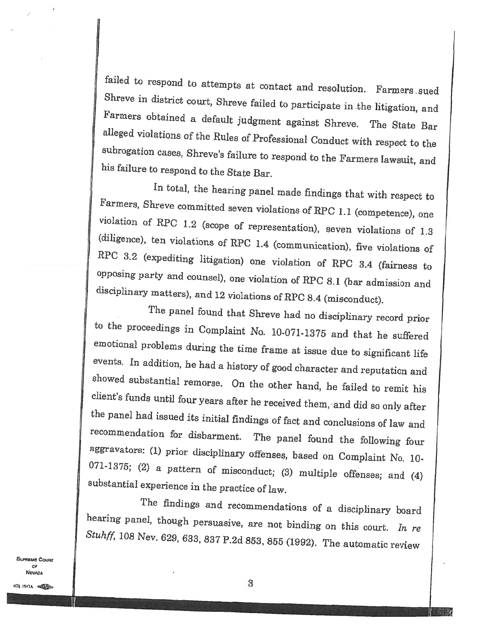failed to respond to attempts at contact and resolution. Farmers sued<br>Shreve in district court, Shreve failed to participate in the litigation, and<br>Farmers obtained a default judgment against Shreve. The State Bar alleged violations of the Rules of Professional Conduct with respect to the subrogation cases, Shreve's failure to respond to the Farmers lawsuit, and his failure to respond to the State Bar.

In total, the hearing panel made findings that with respect to<br>Farmers, Shreve committed seven violations of RPC 1.1 (competence), one<br>violation of RPC 1.2 (scope of representation), seven violations of 1.3<br>(diligence), te

The panel found that Shreve had no disciplinary record prior to the proceedings in Complaint No. 10-071-1375 and that he suffered emotional problems during the time frame at issue due to significant life events. In addition, he had a history of good character and reputation and showed substantial remorse. On the other hand, he failed to remit his client's funds until four years after he received them, and did so only after the panel had issued its initial findings of fact and conclusions of law a aggravators: (1) prior disciplinary offenses, based on Complaint No. 10-071-1375; (2) a pattern of misconduct; (3) multiple offenses; and (4) substantial experience in the practice of law.

The findings and recommendations of a disciplinary board hearing panel, though persuasive, are not binding on this court. In re  $Stu$ ff, 108 Nev. 629, 633, 837 P.2d 853, 855 (1992). The automatic review

**SUPREME COURT** OF NEVADA

II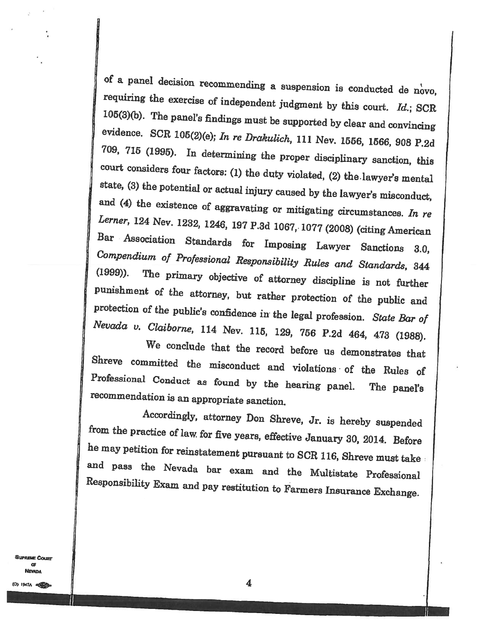of <sup>a</sup> panel decision recommending requiring the exercise of independent judgment by this court. Id.; SCR<br>105(3)(b). The panel's findings must be supported by clear and convincing<br>widence. SCR 105(3)(e); In re Drakulich, 111 Nev. 1556, 1566, 908 P.2d<br>709,

Accordingly, attorney Don Shreve, Jr. is hereby suspended<br>from the practice of law for five years, effective January 30, 2014. Before<br>he may petition for reinstatement pursuant to SCR 116, Shreve must take<br>and pass the Nev

**SupriME COURT** Œ **NEVADA**